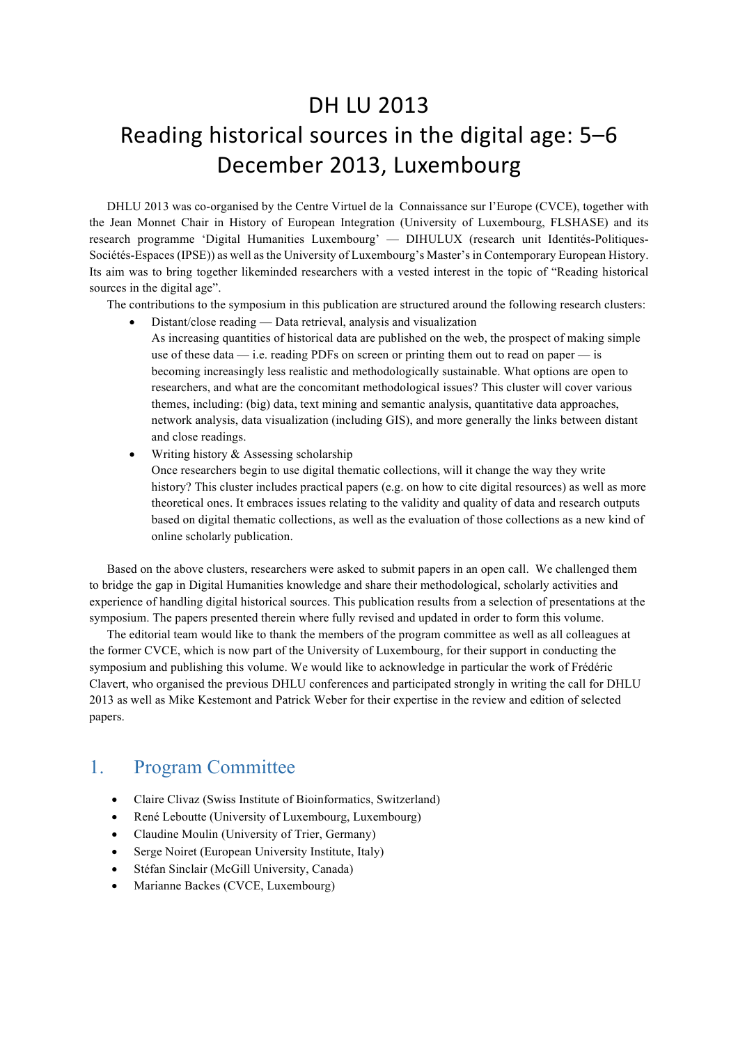## DH LU 2013 Reading historical sources in the digital age: 5-6 December 2013, Luxembourg

DHLU 2013 was co-organised by the Centre Virtuel de la Connaissance sur l'Europe (CVCE), together with the Jean Monnet Chair in History of European Integration (University of Luxembourg, FLSHASE) and its research programme 'Digital Humanities Luxembourg' — DIHULUX (research unit Identités-Politiques-Sociétés-Espaces (IPSE)) as well as the University of Luxembourg's Master's in Contemporary European History. Its aim was to bring together likeminded researchers with a vested interest in the topic of "Reading historical sources in the digital age".

The contributions to the symposium in this publication are structured around the following research clusters:

- Distant/close reading Data retrieval, analysis and visualization As increasing quantities of historical data are published on the web, the prospect of making simple use of these data  $-$  i.e. reading PDFs on screen or printing them out to read on paper  $-$  is becoming increasingly less realistic and methodologically sustainable. What options are open to researchers, and what are the concomitant methodological issues? This cluster will cover various themes, including: (big) data, text mining and semantic analysis, quantitative data approaches, network analysis, data visualization (including GIS), and more generally the links between distant and close readings.
- Writing history & Assessing scholarship

Once researchers begin to use digital thematic collections, will it change the way they write history? This cluster includes practical papers (e.g. on how to cite digital resources) as well as more theoretical ones. It embraces issues relating to the validity and quality of data and research outputs based on digital thematic collections, as well as the evaluation of those collections as a new kind of online scholarly publication.

Based on the above clusters, researchers were asked to submit papers in an open call. We challenged them to bridge the gap in Digital Humanities knowledge and share their methodological, scholarly activities and experience of handling digital historical sources. This publication results from a selection of presentations at the symposium. The papers presented therein where fully revised and updated in order to form this volume.

The editorial team would like to thank the members of the program committee as well as all colleagues at the former CVCE, which is now part of the University of Luxembourg, for their support in conducting the symposium and publishing this volume. We would like to acknowledge in particular the work of Frédéric Clavert, who organised the previous DHLU conferences and participated strongly in writing the call for DHLU 2013 as well as Mike Kestemont and Patrick Weber for their expertise in the review and edition of selected papers.

## 1. Program Committee

- Claire Clivaz (Swiss Institute of Bioinformatics, Switzerland)
- René Leboutte (University of Luxembourg, Luxembourg)
- Claudine Moulin (University of Trier, Germany)
- Serge Noiret (European University Institute, Italy)
- Stéfan Sinclair (McGill University, Canada)
- Marianne Backes (CVCE, Luxembourg)